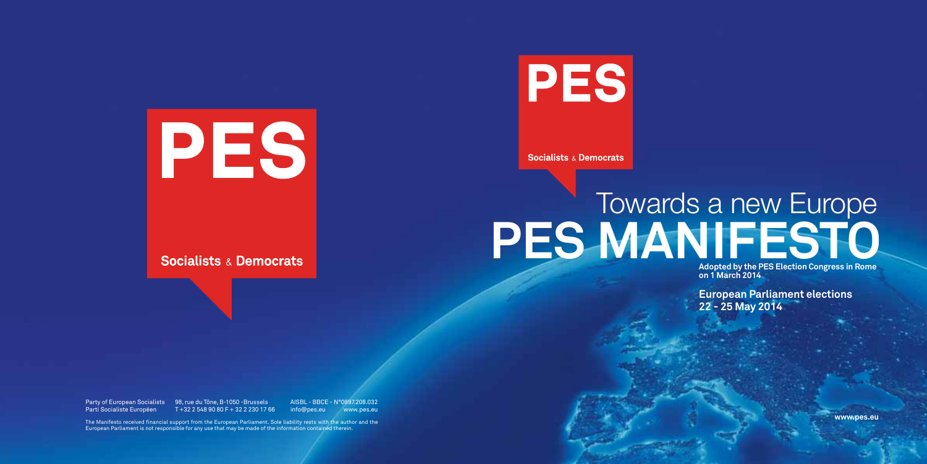# PES

**Socialists & Democrats** 

PES

**Socialists & Democrats** 

The Manifesto received financial support from the European Parliament. Sole liability rests with the author and the European Parliament is not responsible for any use that may be made of the information contained therein.

# **PES MANIFESTO** Towards a new Europe

Party of European Socialists 98, rue du Tône, B-1050 - Brussels AISBL - BBCE - N°0897.208.032 Parti Socialiste Européen T +32 2 548 90 80 F + 32 2 230 17 66 info@pes.eu www.pes.eu

**Adopted by the PES Election Congress in Rome on 1 March 2014**

**European Parliament elections 22 - 25 May 2014**

**www.pes.eu**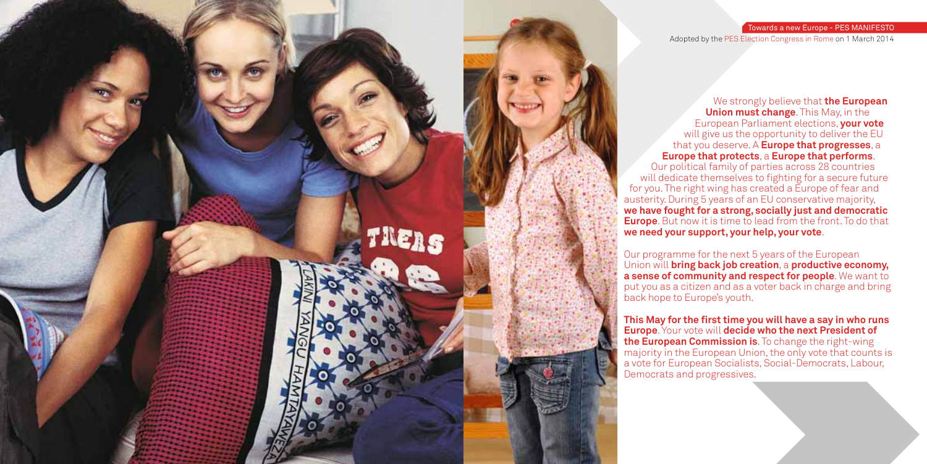We strongly believe that **the European Union must change**. This May, in the European Parliament elections, **your vote** will give us the opportunity to deliver the EU that you deserve. A **Europe that progresses**, a **Europe that protects**, a **Europe that performs**. Our political family of parties across 28 countries will dedicate themselves to fighting for a secure future for you. The right wing has created a Europe of fear and austerity. During 5 years of an EU conservative majority, **we have fought for a strong, socially just and democratic Europe**. But now it is time to lead from the front. To do that

This May for the first time you will have a say in who runs **Europe**. Your vote will **decide who the next President of the European Commission is**. To change the right-wing majority in the European Union, the only vote that counts is a vote for European Socialists, Social-Democrats, Labour,

Our programme for the next 5 years of the European Union will **bring back job creation**, a **productive economy, a sense of community and respect for people**. We want to put you as a citizen and as a voter back in charge and bring



## Towards a new Europe - PES MANIFESTO

Adopted by the PES Election Congress in Rome on 1 March 2014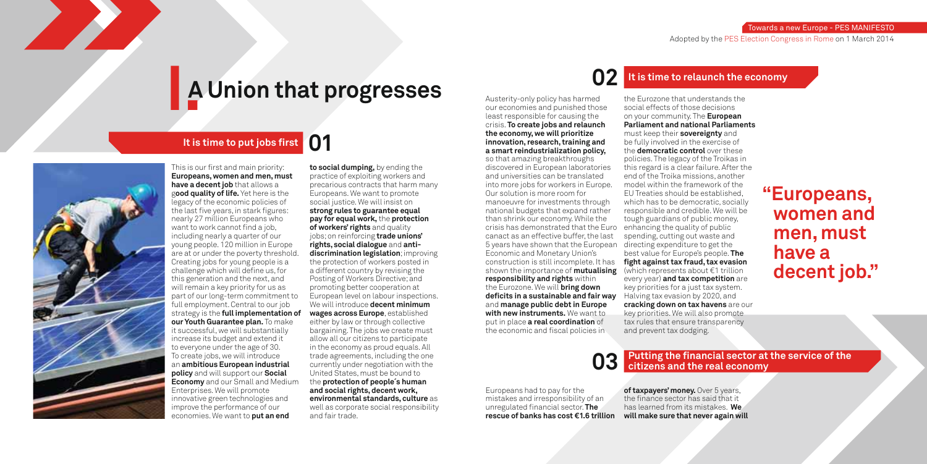# **I.A Union that progresses**

# **It is time to put jobs first**



# **02 It is time to relaunch the economy**

# **"Europeans, women and men, must have a decent job."**

# Putting the financial sector at the service of the citizens and the real economy

Towards a new Europe - PES MANIFESTO

Adopted by the PES Election Congress in Rome on 1 March 2014

This is our first and main priority: **Europeans, women and men, must have a decent job** that allows a g**ood quality of life.** Yet here is the legacy of the economic policies of the last five years, in stark figures: nearly 27 million Europeans who want to work cannot find a job. including nearly a quarter of our young people. 120 million in Europe are at or under the poverty threshold. Creating jobs for young people is a challenge which will define us, for this generation and the next, and will remain a key priority for us as part of our long-term commitment to full employment. Central to our job strategy is the **full implementation of our Youth Guarantee plan.** To make it successful, we will substantially increase its budget and extend it to everyone under the age of 30. To create jobs, we will introduce an **ambitious European industrial policy** and will support our **Social Economy** and our Small and Medium Enterprises. We will promote innovative green technologies and improve the performance of our economies. We want to **put an end** 

Austerity-only policy has harmed our economies and punished those least responsible for causing the crisis. **To create jobs and relaunch the economy, we will prioritize innovation, research, training and a smart reindustrialization policy,** so that amazing breakthroughs discovered in European laboratories and universities can be translated into more jobs for workers in Europe. Our solution is more room for manoeuvre for investments through national budgets that expand rather than shrink our economy. While the crisis has demonstrated that the Euro enhancing the quality of public canact as an effective buffer, the last 5 years have shown that the European directing expenditure to get the Economic and Monetary Union's construction is still incomplete. It has **fi ght against tax fraud, tax evasion** shown the importance of **mutualising**  (which represents about €1 trillion **responsibility and rights** within the Eurozone. We will **bring down defi cits in a sustainable and fair way** and **manage public debt in Europe with new instruments.** We want to put in place **a real coordination** of the economic and fiscal policies in

**to social dumping,** by ending the practice of exploiting workers and precarious contracts that harm many Europeans. We want to promote social justice. We will insist on **strong rules to guarantee equal pay for equal work,** the **protection of workers' rights** and quality jobs; on reinforcing **trade unions' rights, social dialogue** and **antidiscrimination legislation**; improving the protection of workers posted in a different country by revising the Posting of Workers Directive; and promoting better cooperation at European level on labour inspections. We will introduce **decent minimum wages across Europe**, established either by law or through collective bargaining. The jobs we create must allow all our citizens to participate in the economy as proud equals. All trade agreements, including the one currently under negotiation with the United States, must be bound to the **protection of people´s human and social rights, decent work, environmental standards, culture** as well as corporate social responsibility and fair trade.

of taxpayers' money. Over 5 years, the finance sector has said that it has learned from its mistakes. **We will make sure that never again will** 

the Eurozone that understands the social effects of those decisions on your community. The **European Parliament and national Parliaments** must keep their **sovereignty** and be fully involved in the exercise of the **democratic control** over these policies. The legacy of the Troikas in this regard is a clear failure. After the end of the Troika missions, another model within the framework of the EU Treaties should be established, which has to be democratic, socially responsible and credible. We will be tough guardians of public money, spending, cutting out waste and best value for Europe's people. **The**  every year) **and tax competition** are key priorities for a just tax system. Halving tax evasion by 2020, and **cracking down on tax havens** are our key priorities. We will also promote tax rules that ensure transparency and prevent tax dodging.

Europeans had to pay for the mistakes and irresponsibility of an unregulated financial sector. **The rescue of banks has cost €1.6 trillion**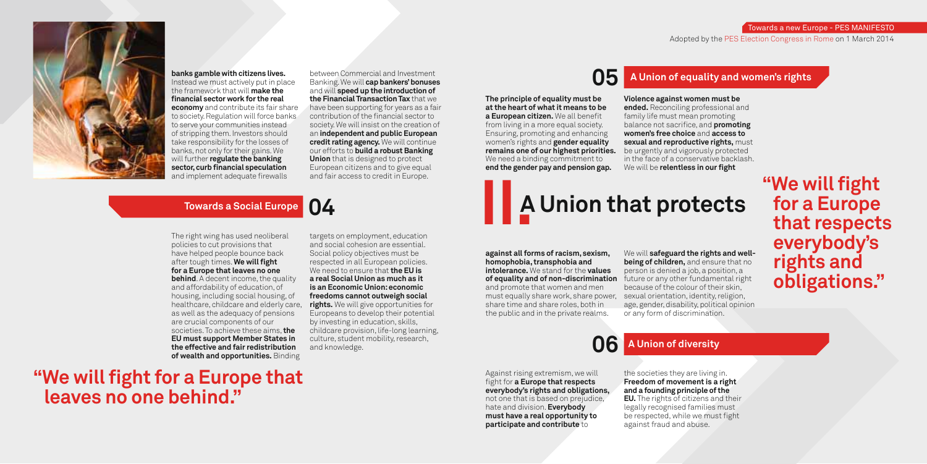# **"We will fight for a Europe that leaves no one behind."**

# **A Union that protects**

# **"We will fi ght for a Europe that respects everybody's rights and obligations."**

**banks gamble with citizens lives.** Instead we must actively put in place the framework that will **make the fi nancial sector work for the real economy** and contribute its fair share to society. Regulation will force banks to serve your communities instead of stripping them. Investors should take responsibility for the losses of banks, not only for their gains. We will further **regulate the banking**  sector, curb financial speculation and implement adequate firewalls

**II. Towards a Social Europe** Towards a Social Europe **CO** 

Towards a new Europe - PES MANIFESTO

# **05** A Union of equality and women's rights



Adopted by the PES Election Congress in Rome on 1 March 2014



**06 A Union of diversity**

**a European citizen.** We all benefit from living in a more equal society. Ensuring, promoting and enhancing women's rights and **gender equality remains one of our highest priorities.**

**Violence against women must be ended.** Reconciling professional and family life must mean promoting balance not sacrifice, and **promoting women's free choice** and **access to sexual and reproductive rights,** must be urgently and vigorously protected in the face of a conservative backlash. We will be *relentless in our fight* 

between Commercial and Investment Banking. We will **cap bankers' bonuses** and will **speed up the introduction of the Financial Transaction Tax** that we have been supporting for years as a fair contribution of the financial sector to society. We will insist on the creation of an **independent and public European credit rating agency.** We will continue our efforts to **build a robust Banking Union** that is designed to protect European citizens and to give equal and fair access to credit in Europe.

**The principle of equality must be at the heart of what it means to be** 

We need a binding commitment to **end the gender pay and pension gap.** 

**against all forms of racism, sexism, homophobia, transphobia and intolerance.** We stand for the **values of equality and of non-discrimination** future or any other fundamental right and promote that women and men must equally share work, share power, share time and share roles, both in the public and in the private realms.

We will **safeguard the rights and wellbeing of children,** and ensure that no person is denied a job, a position, a because of the colour of their skin, sexual orientation, identity, religion, age, gender, disability, political opinion or any form of discrimination.

The right wing has used neoliberal policies to cut provisions that have helped people bounce back after tough times. We will fight **for a Europe that leaves no one behind**. A decent income, the quality and affordability of education, of housing, including social housing, of healthcare, childcare and elderly care, as well as the adequacy of pensions are crucial components of our societies. To achieve these aims, **the EU must support Member States in the effective and fair redistribution of wealth and opportunities.** Binding

targets on employment, education and social cohesion are essential. Social policy objectives must be respected in all European policies. We need to ensure that **the EU is a real Social Union as much as it is an Economic Union: economic freedoms cannot outweigh social rights.** We will give opportunities for Europeans to develop their potential by investing in education, skills, childcare provision, life-long learning, culture, student mobility, research, and knowledge.

> Against rising extremism, we will fight for **a Europe that respects everybody's rights and obligations,** not one that is based on prejudice, hate and division. **Everybody must have a real opportunity to participate and contribute** to

the societies they are living in. **Freedom of movement is a right and a founding principle of the EU.** The rights of citizens and their

legally recognised families must be respected, while we must fight against fraud and abuse.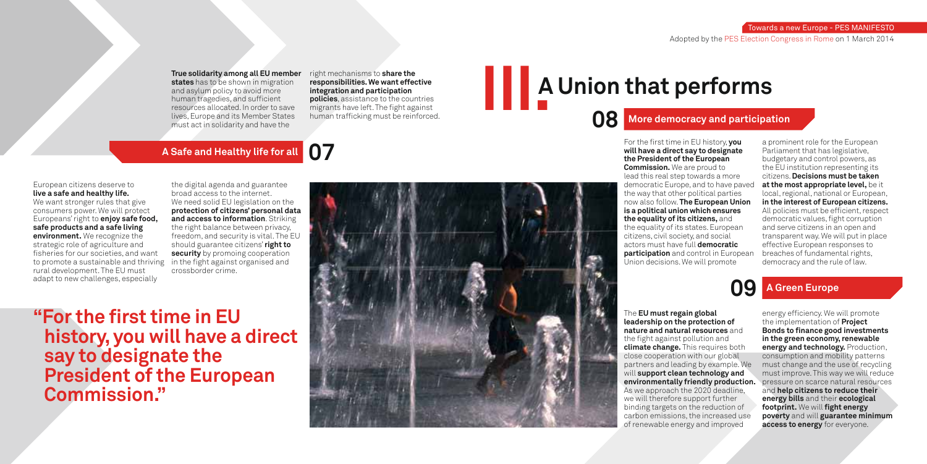**"For the first time in EU history, you will have a direct say to designate the President of the European Commission."** 



# **III. A Union that performs**

## Towards a new Europe - PES MANIFESTO Adopted by the PES Election Congress in Rome on 1 March 2014

# **A Safe and Healthy life for all 07**

# **08 More democracy and participation**

# **09 A Green Europe**

The **EU must regain global leadership on the protection of nature and natural resources** and the fight against pollution and **climate change.** This requires both close cooperation with our global partners and leading by example. We will **support clean technology and environmentally friendly production.**  As we approach the 2020 deadline, we will therefore support further binding targets on the reduction of carbon emissions, the increased use of renewable energy and improved

energy efficiency. We will promote the implementation of **Project Bonds to finance good investments in the green economy, renewable energy and technology.** Production, consumption and mobility patterns must change and the use of recycling must improve. This way we will reduce pressure on scarce natural resources and **help citizens to reduce their energy bills** and their **ecological footprint.** We will **fight energy poverty** and will **guarantee minimum access to energy** for everyone.

**states** has to be shown in migration and asylum policy to avoid more human tragedies, and sufficient resources allocated. In order to save lives, Europe and its Member States must act in solidarity and have the

right mechanisms to **share the responsibilities. We want effective integration and participation policies**, assistance to the countries migrants have left. The fight against human trafficking must be reinforced.

> For the first time in EU history, you **will have a direct say to designate the President of the European Commission.** We are proud to lead this real step towards a more democratic Europe, and to have paved the way that other political parties now also follow. **The European Union is a political union which ensures the equality of its citizens,** and the equality of its states. European citizens, civil society, and social actors must have full **democratic participation** and control in European Union decisions. We will promote

### **True solidarity among all EU member**

a prominent role for the European Parliament that has legislative, budgetary and control powers, as the EU institution representing its citizens. **Decisions must be taken at the most appropriate level,** be it local, regional, national or European, **in the interest of European citizens.** All policies must be efficient, respect democratic values, fight corruption and serve citizens in an open and transparent way. We will put in place effective European responses to breaches of fundamental rights, democracy and the rule of law.

### European citizens deserve to **live a safe and healthy life.** We want stronger rules that give

consumers power. We will protect Europeans' right to **enjoy safe food, safe products and a safe living environment.** We recognize the strategic role of agriculture and fisheries for our societies, and want to promote a sustainable and thriving rural development. The EU must adapt to new challenges, especially

the digital agenda and guarantee broad access to the internet. We need solid EU legislation on the **protection of citizens' personal data and access to information**. Striking the right balance between privacy, freedom, and security is vital. The EU should guarantee citizens' **right to security** by promoing cooperation in the fight against organised and crossborder crime.